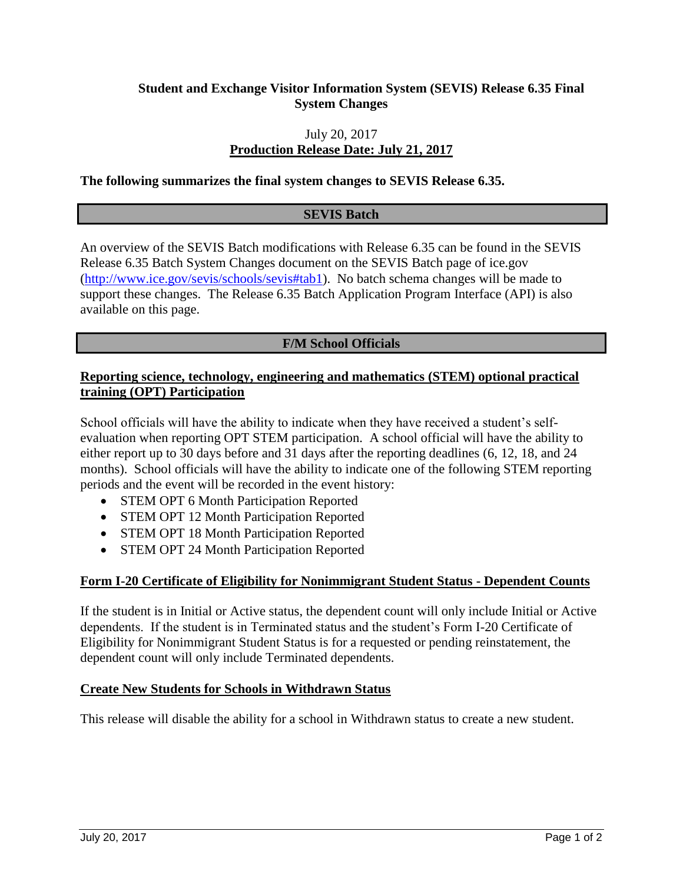# **Student and Exchange Visitor Information System (SEVIS) Release 6.35 Final System Changes**

# July 20, 2017 **Production Release Date: July 21, 2017**

#### **The following summarizes the final system changes to SEVIS Release 6.35.**

#### **SEVIS Batch**

An overview of the SEVIS Batch modifications with Release 6.35 can be found in the SEVIS Release 6.35 Batch System Changes document on the SEVIS Batch page of ice.gov [\(http://www.ice.gov/sevis/schools/sevis#tab1\)](http://www.ice.gov/sevis/schools/sevis#tab1). No batch schema changes will be made to support these changes. The Release 6.35 Batch Application Program Interface (API) is also available on this page.

## **F/M School Officials**

# **Reporting science, technology, engineering and mathematics (STEM) optional practical training (OPT) Participation**

School officials will have the ability to indicate when they have received a student's selfevaluation when reporting OPT STEM participation. A school official will have the ability to either report up to 30 days before and 31 days after the reporting deadlines (6, 12, 18, and 24 months). School officials will have the ability to indicate one of the following STEM reporting periods and the event will be recorded in the event history:

- STEM OPT 6 Month Participation Reported
- STEM OPT 12 Month Participation Reported
- STEM OPT 18 Month Participation Reported
- STEM OPT 24 Month Participation Reported

#### **Form I-20 Certificate of Eligibility for Nonimmigrant Student Status - Dependent Counts**

If the student is in Initial or Active status, the dependent count will only include Initial or Active dependents. If the student is in Terminated status and the student's Form I-20 Certificate of Eligibility for Nonimmigrant Student Status is for a requested or pending reinstatement, the dependent count will only include Terminated dependents.

#### **Create New Students for Schools in Withdrawn Status**

This release will disable the ability for a school in Withdrawn status to create a new student.